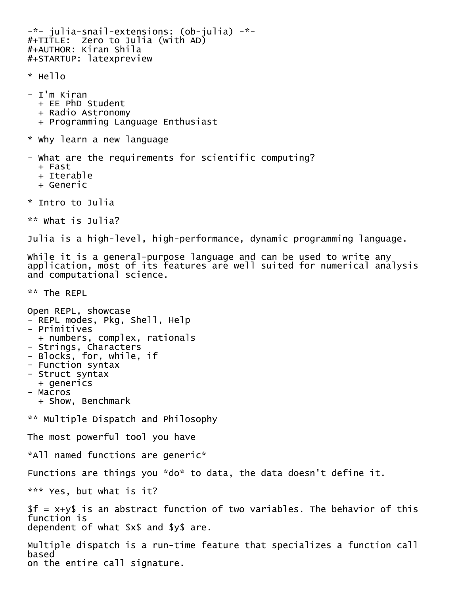```
-*- julia-snail-extensions: (ob-julia) -*-<br>#+TITLE:  Zero to Julia (with AD)
#+AUTHOR: Kiran Shila
#+STARTUP: latexpreview
* Hello
- I'm Kiran
   + EE PhD Student
   + Radio Astronomy
   + Programming Language Enthusiast
* Why learn a new language
- What are the requirements for scientific computing?
   + Fast
   + Iterable
   + Generic
* Intro to Julia
** What is Julia?
Julia is a high-level, high-performance, dynamic programming language.
While it is a general-purpose language and can be used to write any 
application, most of its features are well suited for numerical analysis
and computational science.
** The REPL
Open REPL, showcase<br>- REPL modes, Pkg, Shell, Help
- Primitives<br>+ numbers, complex, rationals
- Strings, Characters
- Blocks, for, while, if
- Function syntax
- Struct syntax
   + generics
- Macros
   + Show, Benchmark
** Multiple Dispatch and Philosophy
The most powerful tool you have
*All named functions are generic*
Functions are things you *do* to data, the data doesn't define it.
*** Yes, but what is it?
f = x+y is an abstract function of two variables. The behavior of this
function is
dependent of what $x$ and $y$ are.
Multiple dispatch is a run-time feature that specializes a function call 
based
```
on the entire call signature.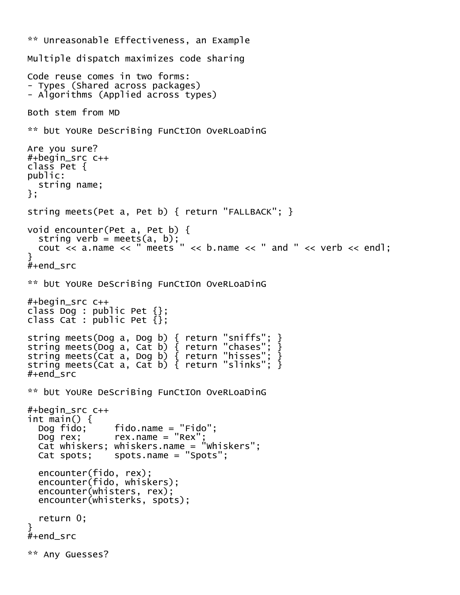```
** Unreasonable Effectiveness, an Example
Multiple dispatch maximizes code sharing
Code reuse comes in two forms:
- Types (Shared across packages)
- Algorithms (Applied across types)
Both stem from MD
** bUt YoURe DeScriBing FunCtIOn OveRLoaDinG
Are you sure?
#+begin_src c++
class Pet {
public:
   string name;
};
string meets(Pet a, Pet b) { return "FALLBACK"; }
void encounter(Pet a, Pet b) {
  string verb = meets(a, b);
  cout \ll a.name \ll " meets " \ll b.name \ll " and " \ll verb \ll endl:
}
#+end_src
** bUt YoURe DeScriBing FunCtIOn OveRLoaDinG
#+begin_src c++
class Dog : public Pet \{\};
class Cat : public Pet {};
string meets(Dog a, Dog b) { return "sniffs"; }
string meets(Dog a, Cat b) { return "chases"; }
string meets(Cat a, Dog b) { return "hisses"; }
string meets(Cat a, Cat b) { return "slinks"; }
#+end_src
** bUt YoURe DeScriBing FunCtIOn OveRLoaDinG
#+begin_src c++
int main() {
   Dog fido; fido.name = "Fido";
  Dog rex; rex.name = "Rex"
   Cat whiskers; whiskers.name = "Whiskers";
   Cat spots; spots.name = "Spots";
   encounter(fido, rex);
   encounter(fido, whiskers);
   encounter(whisters, rex);
   encounter(whisterks, spots);
   return 0;
}
#+end_src
** Any Guesses?
```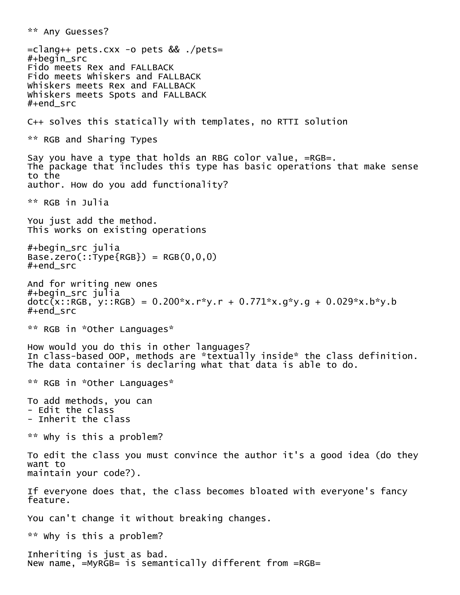\*\* Any Guesses? =clang++ pets.cxx -o pets && ./pets= #+begin\_src Fido meets Rex and FALLBACK Fido meets Whiskers and FALLBACK Whiskers meets Rex and FALLBACK Whiskers meets Spots and FALLBACK #+end\_src C++ solves this statically with templates, no RTTI solution \*\* RGB and Sharing Types Say you have a type that holds an RBG color value, =RGB=. The package that includes this type has basic operations that make sense to the author. How do you add functionality? \*\* RGB in Julia You just add the method. This works on existing operations #+begin\_src julia  $Base{\cdot}zero(::\neg{Type{RGB}}) = RGB(0,0,0)$ #+end\_src And for writing new ones #+begin\_src julia dotc(x::RGB, y::RGB) = 0.200\*x.r\*y.r + 0.771\*x.g\*y.g + 0.029\*x.b\*y.b #+end\_src \*\* RGB in \*Other Languages\* How would you do this in other languages? In class-based OOP, methods are \*textually inside\* the class definition. The data container is declaring what that data is able to do. \*\* RGB in \*Other Languages\* To add methods, you can - Edit the class - Inherit the class \*\* Why is this a problem? To edit the class you must convince the author it's a good idea (do they want to maintain your code?). If everyone does that, the class becomes bloated with everyone's fancy feature. You can't change it without breaking changes. \*\* Why is this a problem? Inheriting is just as bad. New name, =MyRGB= is semantically different from =RGB=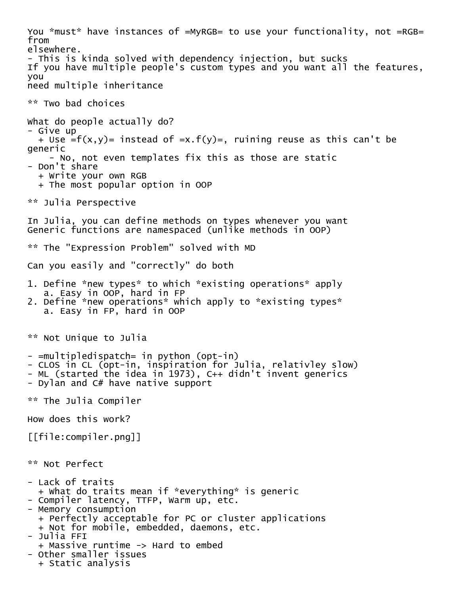You \*must\* have instances of =MyRGB= to use your functionality, not =RGB= from elsewhere. - This is kinda solved with dependency injection, but sucks If you have multiple people's custom types and you want all the features, you need multiple inheritance \*\* Two bad choices What do people actually do? - Give up + Use =f(x,y)= instead of =x.f(y)=, ruining reuse as this can't be generic - No, not even templates fix this as those are static - Don't share + Write your own RGB + The most popular option in OOP \*\* Julia Perspective In Julia, you can define methods on types whenever you want Generic functions are namespaced (unlike methods in OOP) \*\* The "Expression Problem" solved with MD Can you easily and "correctly" do both 1. Define \*new types\* to which \*existing operations\* apply a. Easy in OOP, hard in FP 2. Define \*new operations\* which apply to \*existing types\* a. Easy in FP, hard in OOP \*\* Not Unique to Julia - =multipledispatch= in python (opt-in) - CLOS in CL (opt-in, inspiration for Julia, relativley slow) - ML (started the idea in 1973), C++ didn't invent generics - Dylan and C# have native support \*\* The Julia Compiler How does this work? [[file:compiler.png]] \*\* Not Perfect - Lack of traits + What do traits mean if \*everything\* is generic - Compiler latency, TTFP, Warm up, etc. - Memory consumption + Perfectly acceptable for PC or cluster applications + Not for mobile, embedded, daemons, etc. - Julia FFI + Massive runtime -> Hard to embed - Other smaller issues + Static analysis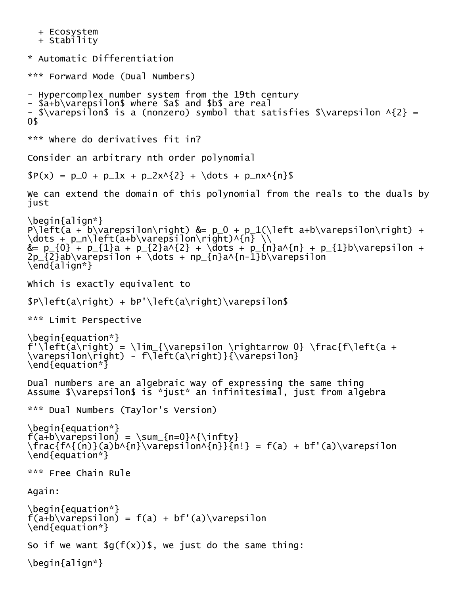```
 + Ecosystem + Stability
* Automatic Differentiation
*** Forward Mode (Dual Numbers)
- Hypercomplex number system from the 19th century
- $a+b\varepsilon$ where $a$ and $b$ are real
- $\varepsilon$ is a (nonzero) symbol that satisfies $\varepsilon \wedge{2} =
0$
*** Where do derivatives fit in?
Consider an arbitrary nth order polynomial
P(x) = p_0 + p_1x + p_2x^2 + \dots + p_nx^{n}$
We can extend the domain of this polynomial from the reals to the duals by 
just
\begin{align*}
P\left(\bar{a} + b\varphi\right) = p_0 + p_1(\{\bar{t} a+b\varphi\}\right) +\dots + p_n\left(a+b\varepsilon\right)^{n} \\
&= p_{0} + p_{1}a + p_{2}a^{2} + \dots + p_{n}a^{n} + p_{1}b\varepsilon +
2p_{2}ab\varphi / ab\varphi arepsilon + \dot{\varphi} dots + np_{n}a^{n-1}b\varepsilon
\end{align*}
Which is exactly equivalent to
\Phi \left(a\right) + bP'\left(a\right)\varepsilon$
*** Limit Perspective
\begin{equation*}
f'\\left(a\right) = \lim_{\varepsilon \rightarrow \rightrightarrows 0} \frac{f}{left(a +\varepsilon\right) - f\left(a\right)}{\varepsilon}
\end{equation*}
Dual numbers are an algebraic way of expressing the same thing
Assume $\varepsilon$ is *just* an infinitesimal, just from algebra
*** Dual Numbers (Taylor's Version)
\begin{equation*}
f(a+b\varphi) = \sum_{n=0}^{\infty}\frac{f\wedge{(n)}(a)b\wedge{n}\varinphi\{n\}}{n!} = f(a) + bf'(a)\varphi\\end{equation*}
*** Free Chain Rule
Again:
\begin{equation*}
f(a+b\varphi) = f(a) + bf'(a)\varphi\end{equation*}
So if we want \mathfrak{sg}(f(x))\, we just do the same thing:
\begin{align*}
```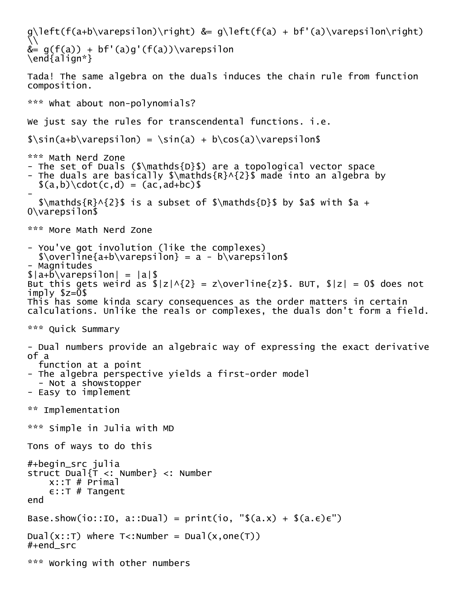```
g\left(f(a+b\varepsilon ilon)\right) &= g\left(f(a)+b\varepsilon ilon\right)\setminus&= g(f(a)) + bf'(a)g'(f(a))\varphi\end{align*}
Tada! The same algebra on the duals induces the chain rule from function 
composition.
*** What about non-polynomials?
We just say the rules for transcendental functions. i.e.
\sin(a+b\varphi) = \sin(a) + b\cos(a)\varphi*** Math Nerd Zone
- The set of Duals ($\mathds{D}$) are a topological vector space
- The duals are basically $\mathds{R}^{2}$ made into an algebra by
  \{(a,b)\cdot c \cdot (c,d) = (ac, ad+bc)\-
  \mathcal{R}^{\{2\}\ is a subset of \mathcal{D} is by \mathcal{S} with \mathcal{S} +
0\varepsilon$
*** More Math Nerd Zone
- You've got involution (like the complexes)
  \overline{\arctan} = a - b\varphi- Magnitudes
\lambda = \lambda + b \varepsilon = |a| \But this gets weird as \{|z| \leq 2\} = z\overline{z}$. BUT, |z| = 0$ does not
imply $z=0$
This has some kinda scary consequences as the order matters in certain
calculations. Unlike the reals or complexes, the duals don't form a field.
*** Quick Summary
- Dual numbers provide an algebraic way of expressing the exact derivative 
of a
   function at a point
- The algebra perspective yields a first-order model
   - Not a showstopper
- Easy to implement
** Implementation
*** Simple in Julia with MD
Tons of ways to do this
#+begin_src julia
struct Dual{T <: Number} <: Number
    x::T # Primal
    \epsilon::T # Tangent
end
Base.show(io::IO, a::Dual) = print(io, "$(a.x) + $(a.e) \in")
Dual(x::T) where T<:Number = Dual(x, one(T))
#+end_src
*** Working with other numbers
```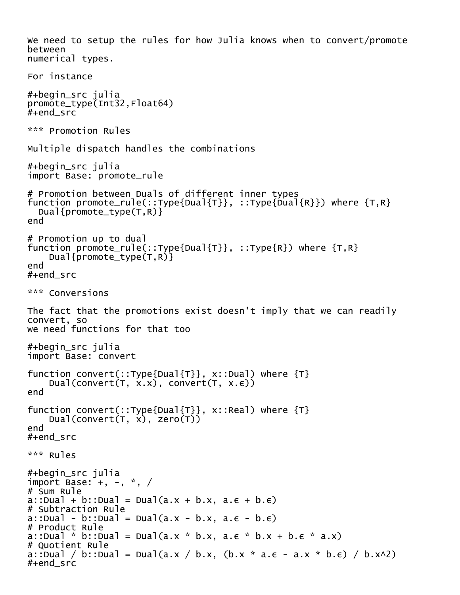```
We need to setup the rules for how Julia knows when to convert/promote 
between
numerical types.
For instance
#+begin_src julia
promote_type(Int32,Float64)
#+end src
*** Promotion Rules
Multiple dispatch handles the combinations
#+begin_src julia
import Base: promote_rule
# Promotion between Duals of different inner types
function promote_rule(::Type{Dual{T}}, ::Type{Dual{R}}) where {T, R} Dual{promote_type(T,R)}
end
# Promotion up to dual
function promote_rule(::Type{Dual{T}}, ::Type{R}) where {T,R}
     Dual{promote_type(T,R)}
end
#+end_src
*** Conversions
The fact that the promotions exist doesn't imply that we can readily 
convert, so
we need functions for that too
#+begin_src julia
import Base: convert
function convert(::Type{Dual{T}}, x::Dual) where {T}
    Dual(convert(T, x.x), convert(T, x.\epsilon))
end
function convert(::Type{Dual{T}}, x::Real) where {T}
    Dual(convert(T, x), zero(T))
end
#+end_src
*** Rules
#+begin_src julia
import Base: +, -, *, /
# Sum Rule
a::Dual + b::Dual = Dual(a.x + b.x, a.\epsilon + b.\epsilon)
# Subtraction Rule
a::Dual - b::Dual = Dual(a.x - b.x, a.\epsilon - b.\epsilon)
# Product Rule
a::Dual * b::Dual = Dual(a.x * b.x, a.ε * b.x + b.ε * a.x)
# Quotient Rule
a::Dual / b::Dual = Dual(a.x / b.x, (b.x * a.\epsilon - a.x * b.\epsilon) / b.x^2)
#+end_src
```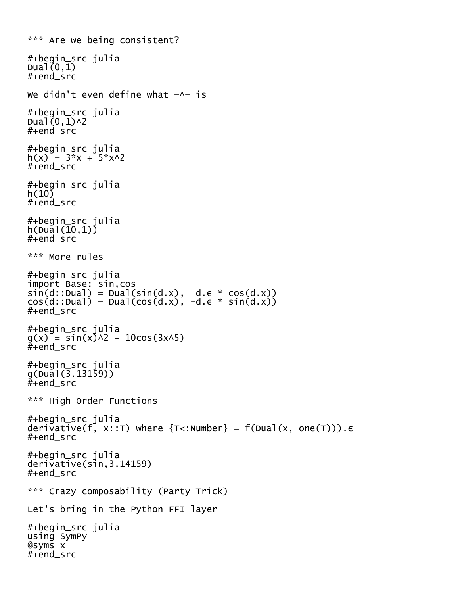```
*** Are we being consistent?
#+begin_src julia
Dual(0,1)#+end_src
We didn't even define what =\wedge= is
#+begin_src julia
Dual(0,1)<sup>\wedge2</sup>
#+end_src
#+begin_src julia
h(x) = 3*x + 5*x^2#+end_src
#+begin_src julia
h(10)#+end_src
#+begin_src julia
h(Dual(10,1))#+end_src
*** More rules
#+begin_src julia
import Base: sin,cos
sin(d::Dual) = Dual(sin(d.x), d.e * cos(d.x))cos(d::Dual) = Dual(cos(d.x), -d.e * sin(d.x))#+end_src
#+begin_src julia
g(x) = sin(x)\wedge2 + 10cos(3x\wedge5)
#+end<sub>src</sub>
#+begin_src julia
g(Dual(3.13159))
#+end_src
*** High Order Functions
#+begin_src julia
derivative(f, x::T) where {T<:Number} = f(Dual(x, one(T))).ε
#+end_src
#+begin_src julia
derivative(sin,3.14159)
#+end_src
*** Crazy composability (Party Trick)
Let's bring in the Python FFI layer
#+begin_src julia
using SymPy
@syms x
#+end_src
```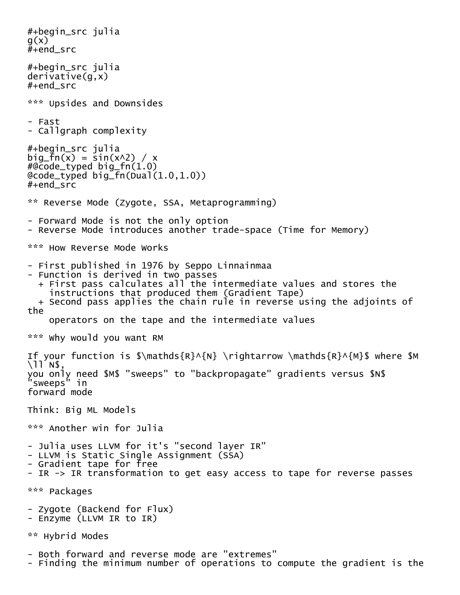#+begin\_src julia  $q(x)$  $#+end$  src #+begin\_src julia derivative(g,x) #+end\_src \*\*\* Upsides and Downsides - Fast - Callgraph complexity #+begin\_src julia big\_fn(x) =  $sin(x^2) / x$  $\frac{40}{6}$  code\_typed big\_fn $(1.0)$ @code\_typed big\_fn(Dual(1.0,1.0)) #+end\_src \*\* Reverse Mode (Zygote, SSA, Metaprogramming) - Forward Mode is not the only option - Reverse Mode introduces another trade-space (Time for Memory) \*\*\* How Reverse Mode Works - First published in 1976 by Seppo Linnainmaa - Function is derived in two passes + First pass calculates all the intermediate values and stores the instructions that produced them (Gradient Tape) + Second pass applies the chain rule in reverse using the adjoints of the operators on the tape and the intermediate values \*\*\* Why would you want RM If your function is \$\mathds{R}^{N} \rightarrow \mathds{R}^{M}\$ where \$M \ll N\$, you only need \$M\$ "sweeps" to "backpropagate" gradients versus \$N\$ "sweeps" in forward mode Think: Big ML Models \*\*\* Another win for Julia - Julia uses LLVM for it's "second layer IR" - LLVM is Static Single Assignment (SSA) - Gradient tape for free - IR -> IR transformation to get easy access to tape for reverse passes \*\*\* Packages - Zygote (Backend for Flux) - Enzyme (LLVM IR to IR) \*\* Hybrid Modes - Both forward and reverse mode are "extremes" - Finding the minimum number of operations to compute the gradient is the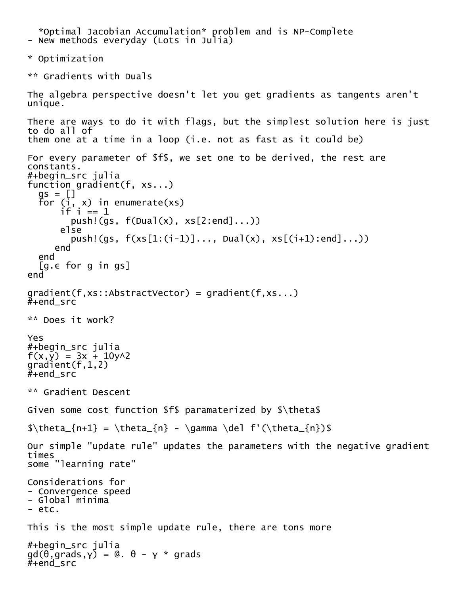```
 *Optimal Jacobian Accumulation* problem and is NP-Complete - New methods everyday (Lots in Julia)
* Optimization
** Gradients with Duals
The algebra perspective doesn't let you get gradients as tangents aren't 
unique.
There are ways to do it with flags, but the simplest solution here is just 
to do all of
them one at a time in a loop (i.e. not as fast as it could be)
For every parameter of $f$, we set one to be derived, the rest are 
constants.
#+begin_src julia
function gradient(f, xs...)
 gs = []
 for (i, x) in enumerate(xs)
if i == 1push!(gs, f(Dual(x), xs[2:end],...)) else
        push!(gs, f(xs[1:(i-1)]..., Dual(x), xs[(i+1):end]...))
      end
   end
   [g.ε for g in gs]
end
gradient(f,xs::AbstractVector) = gradient(f,xs...)
#+endsrc
** Does it work?
Yes
#+begin_src julia
f(x,\bar{y}) = 3x + 10y^2gradient(f,1,2)
#+end_src
** Gradient Descent
Given some cost function $f$ paramaterized by $\theta$
\theta_{n+1} = \theta_{n} - \gamma \det \left( \theta_{n} \right)Our simple "update rule" updates the parameters with the negative gradient 
times
some "learning rate"
Considerations for
- Convergence speed
- Global minima
- etc.
This is the most simple update rule, there are tons more
#+begin_src julia
gd(θ,grads,γ) = @. θ - γ * grads
#+end_src
```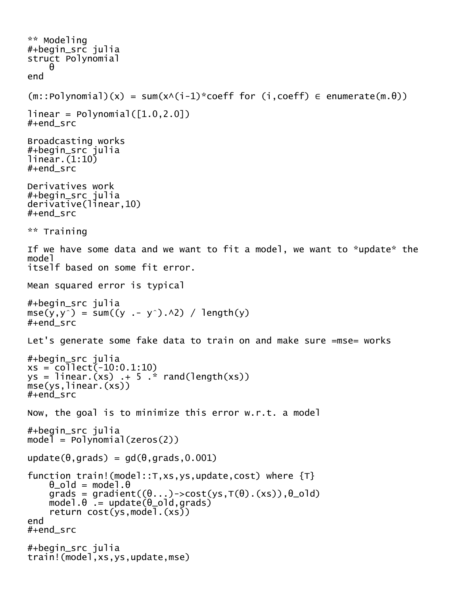```
** Modeling
#+begin_src julia
struct Polynomial
     θ
end
(m::Polynomial)(x) = sum(x \wedge (i-1)*coeff for (i,coeff) \in enumerate(m.\theta))linear = Polynomial([1.0, 2.0])#+end_src
Broadcasting works
#+begin_src julia
linear.(1:10)
#+end_src
Derivatives work
#+begin_src julia
derivative(linear,10)
#+end_src
** Training
If we have some data and we want to fit a model, we want to *update* the 
model
itself based on some fit error.
Mean squared error is typical
#+begin_src julia
mse(y,y^) = sum((y .- y^).^2) / length(y)
#+end_src
Let's generate some fake data to train on and make sure =mse= works
#+begin_src julia
xs = collect(-10:0.1:10)ys = linear.(xs) + 5.* rand(length(xs))mse(ys,linear.(xs))
#+end_src
Now, the goal is to minimize this error w.r.t. a model
#+begin_src julia
model = Polynomial(zeros(2))update(\theta,grads) = gd(\theta,grads,0.001)
function train!(model::T,xs,ys,update,cost) where {T}
    \theta_old = model.\thetagrads = gradient((\theta \dots) \rightarrow cost(ys, T(\theta) \cdot (xs)) , \theta \cdot 0]model.\theta = update(\theta_0Id, grads) return cost(ys,model.(xs))
end
#+end_src
#+begin_src julia
train!(model,xs,ys,update,mse)
```